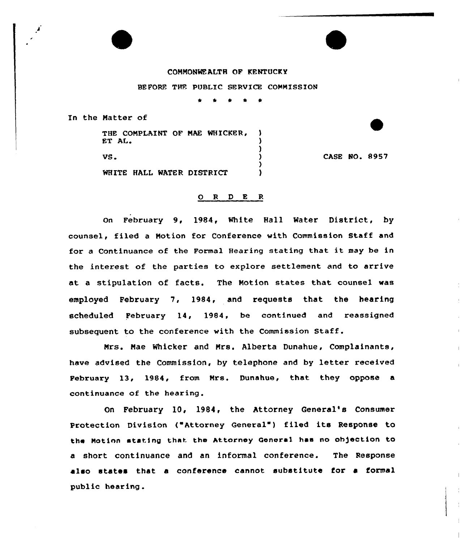## CONNONMEALTH OF KENTUCKY

BEFORE THE PUBLIC SERVICE CONNISSION

\* \*

In the Natter of

THE CONPLAINT OF NAE WHICKER, ET AL.

VS.

CASE NO. 8957

WHITE HALL WATER DISTRICT

## 0 <sup>R</sup> <sup>D</sup> E <sup>R</sup>

)<br>۱

Δ

)

on February 9, 1984, White Hall Water District, by counsel, filed <sup>a</sup> Notion for Conference with Commission Staff and for <sup>a</sup> Continuance of the Formal Hearing stating that it may be in the interest of the parties to explore settlement and to arrive at <sup>a</sup> stipulation of facts. The Notion states that counsel vas employed February 7, 1984, and requests that the hearing scheduled February 14, 1984, be continued and reassigned subsequent to the conference with the Commission Staff.

Nrs. Mae Whicker and Nrs. Alberta Dunahue, Complainants, have advised the Commission, by telephone and by letter received February 13, 1984, from Nrs. Dunahue, that they oppose a continuance of the hearing.

On February 10, l984, the Attorney General's Consumer Protection Division ("Attorney General") filed its Response to the Notinn atating that. the Attorney General has no oh)ection to a short continuance and an informal conference. The Response also states that a conference cannot substitute for a formal public hearing.